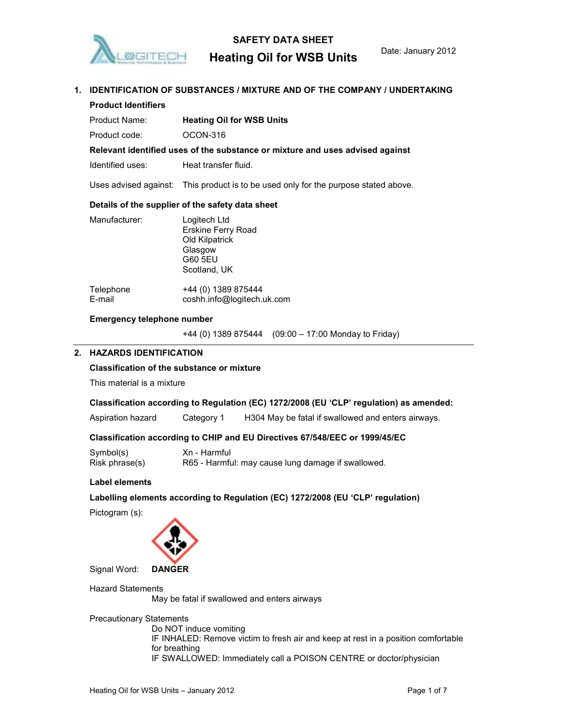

# SAFETY DATA SHEET

# Heating Oil for WSB Units Date: January 2012

# 1. IDENTIFICATION OF SUBSTANCES / MIXTURE AND OF THE COMPANY / UNDERTAKING Product Identifiers Product Name: Heating Oil for WSB Units Product code: 0CON-316 Relevant identified uses of the substance or mixture and uses advised against Identified uses: Heat transfer fluid. Uses advised against: This product is to be used only for the purpose stated above. Details of the supplier of the safety data sheet Manufacturer: Logitech Ltd Erskine Ferry Road Old Kilpatrick Glasgow G60 5EU Scotland, UK Telephone +44 (0) 1389 875444 E-mail coshh.info@logitech.uk.com Emergency telephone number

+44 (0) 1389 875444 (09:00 – 17:00 Monday to Friday)

# 2. HAZARDS IDENTIFICATION

# Classification of the substance or mixture

This material is a mixture

# Classification according to Regulation (EC) 1272/2008 (EU 'CLP' regulation) as amended:

Aspiration hazard Category 1 H304 May be fatal if swallowed and enters airways.

# Classification according to CHIP and EU Directives 67/548/EEC or 1999/45/EC

| Symbol(s)      | Xn - Harmful                                       |
|----------------|----------------------------------------------------|
| Risk phrase(s) | R65 - Harmful: may cause lung damage if swallowed. |

#### Label elements

Labelling elements according to Regulation (EC) 1272/2008 (EU 'CLP' regulation)

Pictogram (s):



Signal Word: DANGER

Hazard Statements May be fatal if swallowed and enters airways

Precautionary Statements

Do NOT induce vomiting IF INHALED: Remove victim to fresh air and keep at rest in a position comfortable for breathing IF SWALLOWED: Immediately call a POISON CENTRE or doctor/physician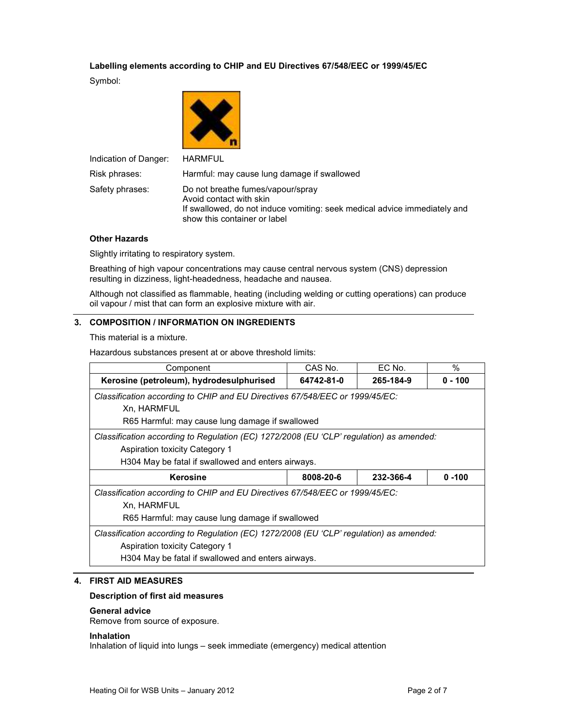# Labelling elements according to CHIP and EU Directives 67/548/EEC or 1999/45/EC

Symbol:



| Indication of Danger: | <b>HARMFUL</b>                                                                                                                                                            |
|-----------------------|---------------------------------------------------------------------------------------------------------------------------------------------------------------------------|
| Risk phrases:         | Harmful: may cause lung damage if swallowed                                                                                                                               |
| Safety phrases:       | Do not breathe fumes/vapour/spray<br>Avoid contact with skin<br>If swallowed, do not induce vomiting: seek medical advice immediately and<br>show this container or label |

# Other Hazards

Slightly irritating to respiratory system.

Breathing of high vapour concentrations may cause central nervous system (CNS) depression resulting in dizziness, light-headedness, headache and nausea.

Although not classified as flammable, heating (including welding or cutting operations) can produce oil vapour / mist that can form an explosive mixture with air.

# 3. COMPOSITION / INFORMATION ON INGREDIENTS

This material is a mixture.

Hazardous substances present at or above threshold limits:

| Component                                                                                                                                                                              | CAS No.    | EC No.    | $\%$      |
|----------------------------------------------------------------------------------------------------------------------------------------------------------------------------------------|------------|-----------|-----------|
| Kerosine (petroleum), hydrodesulphurised                                                                                                                                               | 64742-81-0 | 265-184-9 | $0 - 100$ |
| Classification according to CHIP and EU Directives 67/548/EEC or 1999/45/EC:                                                                                                           |            |           |           |
| Xn, HARMFUL                                                                                                                                                                            |            |           |           |
| R65 Harmful: may cause lung damage if swallowed                                                                                                                                        |            |           |           |
| Classification according to Regulation (EC) 1272/2008 (EU 'CLP' regulation) as amended:<br><b>Aspiration toxicity Category 1</b><br>H304 May be fatal if swallowed and enters airways. |            |           |           |
| Kerosine                                                                                                                                                                               | 8008-20-6  | 232-366-4 | $0 - 100$ |
| Classification according to CHIP and EU Directives 67/548/EEC or 1999/45/EC:                                                                                                           |            |           |           |
| Xn, HARMFUL                                                                                                                                                                            |            |           |           |
| R65 Harmful: may cause lung damage if swallowed                                                                                                                                        |            |           |           |
| Classification according to Regulation (EC) 1272/2008 (EU 'CLP' regulation) as amended:<br><b>Aspiration toxicity Category 1</b>                                                       |            |           |           |
| H304 May be fatal if swallowed and enters airways.                                                                                                                                     |            |           |           |

# 4. FIRST AID MEASURES

# Description of first aid measures

# General advice

Remove from source of exposure.

# Inhalation

Inhalation of liquid into lungs – seek immediate (emergency) medical attention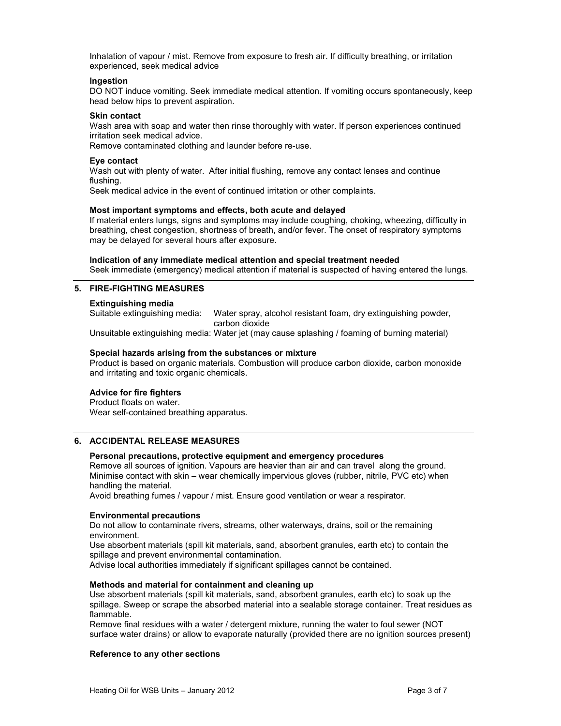Inhalation of vapour / mist. Remove from exposure to fresh air. If difficulty breathing, or irritation experienced, seek medical advice

#### Ingestion

DO NOT induce vomiting. Seek immediate medical attention. If vomiting occurs spontaneously, keep head below hips to prevent aspiration.

#### Skin contact

Wash area with soap and water then rinse thoroughly with water. If person experiences continued irritation seek medical advice.

Remove contaminated clothing and launder before re-use.

#### Eye contact

Wash out with plenty of water. After initial flushing, remove any contact lenses and continue flushing.

Seek medical advice in the event of continued irritation or other complaints.

#### Most important symptoms and effects, both acute and delayed

If material enters lungs, signs and symptoms may include coughing, choking, wheezing, difficulty in breathing, chest congestion, shortness of breath, and/or fever. The onset of respiratory symptoms may be delayed for several hours after exposure.

# Indication of any immediate medical attention and special treatment needed Seek immediate (emergency) medical attention if material is suspected of having entered the lungs.

# 5. FIRE-FIGHTING MEASURES

**Extinguishing media**<br>Suitable extinguishing media: Water spray, alcohol resistant foam, dry extinguishing powder, carbon dioxide

Unsuitable extinguishing media: Water jet (may cause splashing / foaming of burning material)

#### Special hazards arising from the substances or mixture

Product is based on organic materials. Combustion will produce carbon dioxide, carbon monoxide and irritating and toxic organic chemicals.

# Advice for fire fighters

Product floats on water. Wear self-contained breathing apparatus.

# 6. ACCIDENTAL RELEASE MEASURES

# Personal precautions, protective equipment and emergency procedures

Remove all sources of ignition. Vapours are heavier than air and can travel along the ground. Minimise contact with skin – wear chemically impervious gloves (rubber, nitrile, PVC etc) when handling the material.

Avoid breathing fumes / vapour / mist. Ensure good ventilation or wear a respirator.

#### Environmental precautions

Do not allow to contaminate rivers, streams, other waterways, drains, soil or the remaining environment.

Use absorbent materials (spill kit materials, sand, absorbent granules, earth etc) to contain the spillage and prevent environmental contamination.

Advise local authorities immediately if significant spillages cannot be contained.

#### Methods and material for containment and cleaning up

Use absorbent materials (spill kit materials, sand, absorbent granules, earth etc) to soak up the spillage. Sweep or scrape the absorbed material into a sealable storage container. Treat residues as flammable.

Remove final residues with a water / detergent mixture, running the water to foul sewer (NOT surface water drains) or allow to evaporate naturally (provided there are no ignition sources present)

# Reference to any other sections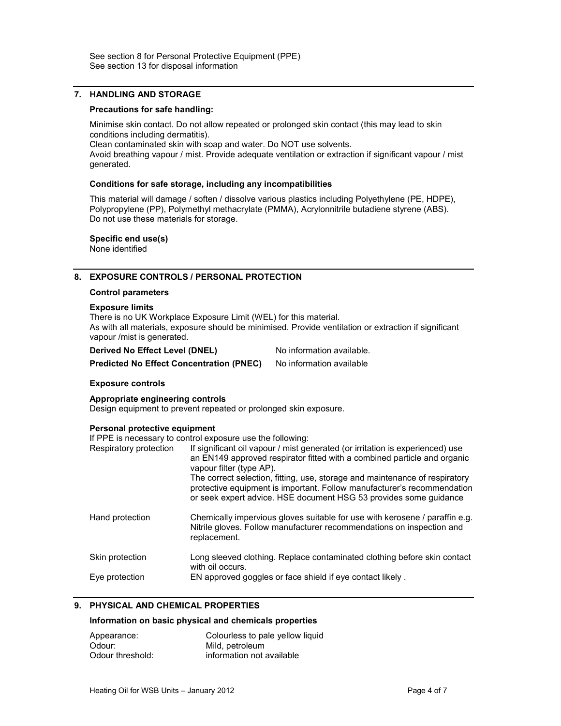## 7. HANDLING AND STORAGE

#### Precautions for safe handling:

Minimise skin contact. Do not allow repeated or prolonged skin contact (this may lead to skin conditions including dermatitis). Clean contaminated skin with soap and water. Do NOT use solvents. Avoid breathing vapour / mist. Provide adequate ventilation or extraction if significant vapour / mist generated.

#### Conditions for safe storage, including any incompatibilities

This material will damage / soften / dissolve various plastics including Polyethylene (PE, HDPE), Polypropylene (PP), Polymethyl methacrylate (PMMA), Acrylonnitrile butadiene styrene (ABS). Do not use these materials for storage.

Specific end use(s) None identified

# 8. EXPOSURE CONTROLS / PERSONAL PROTECTION

#### Control parameters

#### Exposure limits

There is no UK Workplace Exposure Limit (WEL) for this material. As with all materials, exposure should be minimised. Provide ventilation or extraction if significant vapour /mist is generated.

Derived No Effect Level (DNEL) No information available.

Predicted No Effect Concentration (PNEC) No information available

# Exposure controls Appropriate engineering controls

Design equipment to prevent repeated or prolonged skin exposure.

# Personal protective equipment

If PPE is necessary to control exposure use the following:

| Respiratory protection | If significant oil vapour / mist generated (or irritation is experienced) use<br>an EN149 approved respirator fitted with a combined particle and organic<br>vapour filter (type AP).<br>The correct selection, fitting, use, storage and maintenance of respiratory<br>protective equipment is important. Follow manufacturer's recommendation<br>or seek expert advice. HSE document HSG 53 provides some guidance |
|------------------------|----------------------------------------------------------------------------------------------------------------------------------------------------------------------------------------------------------------------------------------------------------------------------------------------------------------------------------------------------------------------------------------------------------------------|
| Hand protection        | Chemically impervious gloves suitable for use with kerosene / paraffin e.g.<br>Nitrile gloves. Follow manufacturer recommendations on inspection and<br>replacement.                                                                                                                                                                                                                                                 |
| Skin protection        | Long sleeved clothing. Replace contaminated clothing before skin contact<br>with oil occurs.                                                                                                                                                                                                                                                                                                                         |
| Eye protection         | EN approved goggles or face shield if eye contact likely.                                                                                                                                                                                                                                                                                                                                                            |

# 9. PHYSICAL AND CHEMICAL PROPERTIES

#### Information on basic physical and chemicals properties

| Appearance:      | Colourless to pale yellow liquid |
|------------------|----------------------------------|
| Odour:           | Mild, petroleum                  |
| Odour threshold: | information not available        |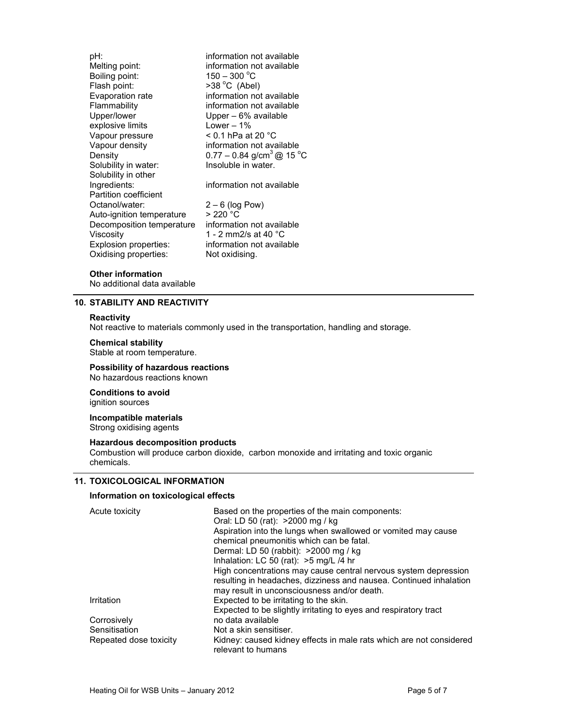pH:<br>
Melting point:<br>
Melting point:<br>
information not available information not available<br> $150 - 300^{\circ}C$ Boiling point:<br>Flash point: Flash point: >38 °C (Abel)<br>Evaporation rate information not information not available Flammability information not available Upper/lower Upper – 6% available<br>explosive limits Lower – 1% explosive limits Vapour pressure  $\leq 0.1$  hPa at 20 °C<br>Vapour density information not ava information not available Density  $0.77 - 0.84$  g/cm<sup>3</sup> @ 15 °C<br>Solubility in water: Insoluble in water. Solubility in water: Solubility in other Ingredients: information not available Partition coefficient<br>Octanol/water:  $2 - 6$  (log Pow) Auto-ignition temperature  $> 220$  °C Decomposition temperature information not available Viscosity 1 - 2 mm2/s at 40 °C Explosion properties: information not available Oxidising properties: Not oxidising.

# Other information

No additional data available

# 10. STABILITY AND REACTIVITY

#### **Reactivity**

Not reactive to materials commonly used in the transportation, handling and storage.

#### Chemical stability

Stable at room temperature.

#### Possibility of hazardous reactions No hazardous reactions known

Conditions to avoid ignition sources

#### Incompatible materials Strong oxidising agents

#### Hazardous decomposition products

Combustion will produce carbon dioxide, carbon monoxide and irritating and toxic organic chemicals.

# 11. TOXICOLOGICAL INFORMATION

#### Information on toxicological effects

| Acute toxicity         | Based on the properties of the main components:<br>Oral: LD 50 (rat): >2000 mg / kg       |
|------------------------|-------------------------------------------------------------------------------------------|
|                        | Aspiration into the lungs when swallowed or vomited may cause                             |
|                        | chemical pneumonitis which can be fatal.                                                  |
|                        | Dermal: LD 50 (rabbit): >2000 mg / kg                                                     |
|                        | Inhalation: LC 50 (rat): >5 mg/L /4 hr                                                    |
|                        | High concentrations may cause central nervous system depression                           |
|                        | resulting in headaches, dizziness and nausea. Continued inhalation                        |
|                        | may result in unconsciousness and/or death.                                               |
| Irritation             | Expected to be irritating to the skin.                                                    |
|                        | Expected to be slightly irritating to eyes and respiratory tract                          |
| Corrosively            | no data available                                                                         |
| Sensitisation          | Not a skin sensitiser.                                                                    |
| Repeated dose toxicity | Kidney: caused kidney effects in male rats which are not considered<br>relevant to humans |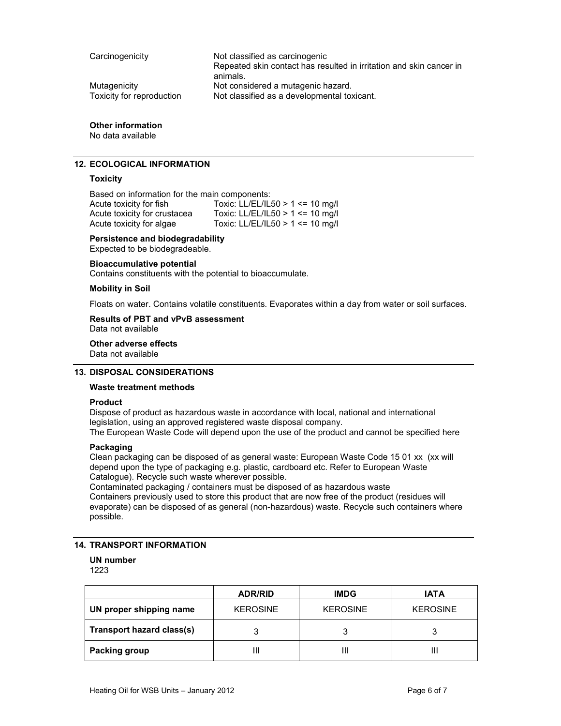| Carcinogenicity           | Not classified as carcinogenic<br>Repeated skin contact has resulted in irritation and skin cancer in |
|---------------------------|-------------------------------------------------------------------------------------------------------|
|                           | animals.                                                                                              |
| Mutaqenicity              | Not considered a mutagenic hazard.                                                                    |
| Toxicity for reproduction | Not classified as a developmental toxicant.                                                           |

# Other information

No data available

# 12. ECOLOGICAL INFORMATION

# **Toxicity**

Based on information for the main components: Acute toxicity for fish Toxic: LL/EL/IL50 > 1 <= 10 mg/l<br>Acute toxicity for crustacea Toxic: LL/EL/IL50 > 1 <= 10 mg/l Acute toxicity for crustacea<br>Acute toxicity for algae Toxic: LL/EL/IL50 >  $1$  <= 10 mg/l

# Persistence and biodegradability

Expected to be biodegradeable.

# Bioaccumulative potential

Contains constituents with the potential to bioaccumulate.

# Mobility in Soil

Floats on water. Contains volatile constituents. Evaporates within a day from water or soil surfaces.

# Results of PBT and vPvB assessment

Data not available

# Other adverse effects

Data not available

# 13. DISPOSAL CONSIDERATIONS

# Waste treatment methods

# Product

Dispose of product as hazardous waste in accordance with local, national and international legislation, using an approved registered waste disposal company.

The European Waste Code will depend upon the use of the product and cannot be specified here

# Packaging

Clean packaging can be disposed of as general waste: European Waste Code 15 01 xx (xx will depend upon the type of packaging e.g. plastic, cardboard etc. Refer to European Waste Catalogue). Recycle such waste wherever possible.

Contaminated packaging / containers must be disposed of as hazardous waste Containers previously used to store this product that are now free of the product (residues will evaporate) can be disposed of as general (non-hazardous) waste. Recycle such containers where possible.

# 14. TRANSPORT INFORMATION

# UN number

1223

|                           | <b>ADR/RID</b>  | <b>IMDG</b>     | <b>IATA</b>     |
|---------------------------|-----------------|-----------------|-----------------|
| UN proper shipping name   | <b>KEROSINE</b> | <b>KEROSINE</b> | <b>KEROSINE</b> |
| Transport hazard class(s) | 3               |                 |                 |
| <b>Packing group</b>      | Ш               | Ш               | Ш               |